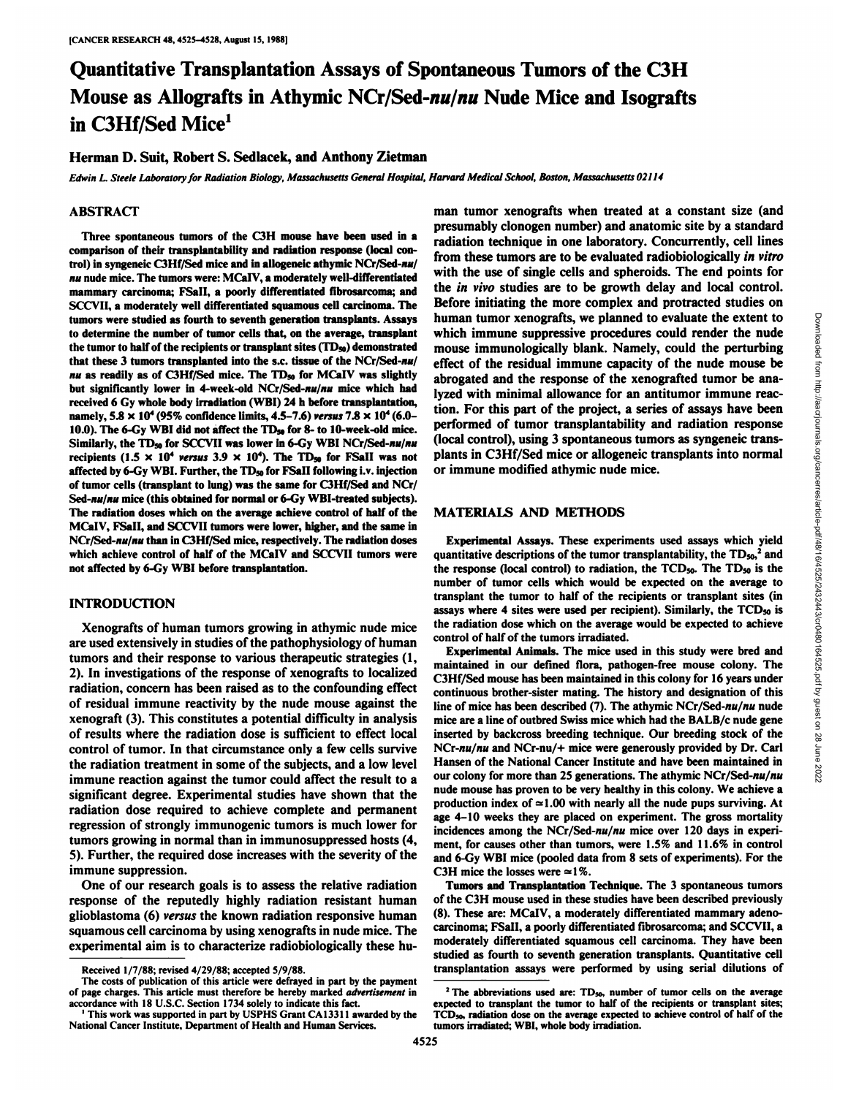# Quantitative Transplantation Assays of Spontaneous Tumors of the C3H Mouse as Allografts in Athymic NCr/Sed-nu/nu Nude Mice and Isografts in C3Hf/Sed Mice<sup>1</sup>

## Herman D. Suit, Robert S. Sedlacek, and Anthony Zietman

Edwin L. Steele Laboratory for Radiation Biology, Massachusetts General Hospital, Harvard Medical School, Boston, Massachusetts 02114

## ABSTRACT

Three spontaneous tumors of the C3H mouse have been used in a comparison of their transplantability and radiation response (local con trol) in syngeneic C3Hf/Sed mice and in allogeneic athymic NCr/Sed-nu/ *nu nude mice. The tumors were: MCalV, a moderately well-differentiated* mammary carcinoma; FSall, a poorly differentiated fibrosarcoma; and SCCVII, a moderately well differentiated squamous cell carcinoma. The tumors were studied as fourth to seventh generation transplants. Assays to determine the number of tumor cells that, on the average, transplant the tumor to half of the recipients or transplant sites  $(TD_{50})$  demonstrated that these 3 tumors transplanted into the s.c. tissue of the NCr/Sed-nu/ *nu* as readily as of C3Hf/Sed mice. The TD<sub>50</sub> for MCaIV was slightly but significantly lower in 4-week-old NCr/Sed-nu/nu mice which had received 6 Gy whole body irradiation (WBI) 24 h before transplantation, namely,  $5.8 \times 10^4$  (95% confidence limits, 4.5-7.6) versus 7.8  $\times 10^4$  (6.0-10.0). The 6-Gy WBI did not affect the  $TD_{50}$  for 8- to 10-week-old mice. Similarly, the TD<sub>50</sub> for SCCVII was lower in 6-Gy WBI NCr/Sed-nu/nu recipients (1.5  $\times$  10<sup>4</sup> versus 3.9  $\times$  10<sup>4</sup>). The TD<sub>50</sub> for FSaII was not affected by 6-Gy WBI. Further, the TD<sub>50</sub> for FSaII following i.v. injection of tumor cells (transplant to lung) was the same for C3Hf/Sed and NCr/ Sed-nu/nu mice (this obtained for normal or 6-Gy WBI-treated subjects). The radiation doses which on the average achieve control of half of the MCalV, FSall, and SCCVII tumors were lower, higher, and the same in NCr/Sed-nu/nu than in C3Hf/Sed mice, respectively. The radiation doses which achieve control of half of the MCalV and SCCVII tumors were not affected by 6-Gy WBI before transplantation.

## **INTRODUCTION**

Xenografts of human tumors growing in athymic nude mice are used extensively in studies of the pathophysiology of human tumors and their response to various therapeutic strategies (1, 2). In investigations of the response of xenografts to localized radiation, concern has been raised as to the confounding effect of residual immune reactivity by the nude mouse against the xenograft (3). This constitutes a potential difficulty in analysis of results where the radiation dose is sufficient to effect local control of tumor. In that circumstance only a few cells survive the radiation treatment in some of the subjects, and a low level immune reaction against the tumor could affect the result to a significant degree. Experimental studies have shown that the radiation dose required to achieve complete and permanent regression of strongly immunogenic tumors is much lower for tumors growing in normal than in immunosuppressed hosts (4, 5). Further, the required dose increases with the severity of the immune suppression.

One of our research goals is to assess the relative radiation response of the reputedly highly radiation resistant human glioblastoma (6) versus the known radiation responsive human squamous cell carcinoma by using xenografts in nude mice. The experimental aim is to characterize radiobiologically these human tumor xenografts when treated at a constant size (and presumably clonogen number) and anatomic site by a standard radiation technique in one laboratory. Concurrently, cell lines from these tumors are to be evaluated radiobiologically in vitro with the use of single cells and spheroids. The end points for the in vivo studies are to be growth delay and local control. Before initiating the more complex and protracted studies on human tumor xenografts, we planned to evaluate the extent to which immum suppressive procedures could render the nude<br>mouse immunologically blank. Namely, could the perturbing<br>effect of the residual immune capacity of the which immune suppressive procedures could render the nude mouse immunologically blank. Namely, could the perturbing effect of the residual immune capacity of the nude mouse be abrogated and the response of the xenografted tumor be ana lyzed with minimal allowance for an antitumor immune reac tion. For this part of the project, a series of assays have been performed of tumor transplantability and radiation response (local control), using 3 spontaneous tumors as syngeneic trans plants in C3Hf/Sed mice or allogeneic transplants into normal or immune modified athymic nude mice.

#### **MATERIALS AND METHODS**

Experimental Assays. These experiments used assays which yield quantitative descriptions of the tumor transplantability, the  $TD_{50}^2$  and the response (local control) to radiation, the  $TCD_{50}$ . The  $TD_{50}$  is the number of tumor cells which would be expected on the average to transplant the tumor to half of the recipients or transplant sites (in assays where 4 sites were used per recipient). Similarly, the TCD<sub>50</sub> is the radiation dose which on the average would be expected to achieve control of half of the tumors irradiated.

Experimental Animals. The mice used in this study were bred and maintained in our defined flora, pathogen-free mouse colony. The C3Hf/Sed mouse has been maintained in this colony for 16 years under continuous brother-sister mating. The history and designation of this line of mice has been described (7). The athymic NCr/Sed- $nu/nu$  nude mice are a line of outbred Swiss mice which had the BALB/c nude gene inserted by backcross breeding technique. Our breeding stock of the NCr-nu/nu and NCr-nu/+ mice were generously provided by Dr. Carl Hansen of the National Cancer Institute and have been maintained in our colony for more than 25 generations. The athymic NCr/Sed-nu/nu nude mouse has proven to be very healthy in this colony. We achieve a production index of  $\simeq 1.00$  with nearly all the nude pups surviving. At age 4-10 weeks they are placed on experiment. The gross mortality incidences among the NCr/Sed-nu/nu mice over 120 days in experiment, for causes other than tumors, were 1.5% and 11.6% in control and 6-Gy WBI mice (pooled data from 8 sets of experiments). For the C3H mice the losses were  $\simeq$ 1%.

Tumors and Transplantation Technique. The 3 spontaneous tumors of the C3H mouse used in these studies have been described previously (8). These are: MCalV, a moderately differentiated mammary adenocarcinoma; FSall, a poorly differentiated fibrosarcoma; and SCCVII, a moderately differentiated squamous cell carcinoma. They have been studied as fourth to seventh generation transplants. Quantitative cell transplantation assays were performed by using serial dilutions of

Rcceived 1/7/88; revised 4/29/88; accepted 5/9/88.

The costs of publication of this article were defrayed in part by the payment of page charges. This article must therefore be hereby marked *advertisement* in accordance with 18 U.S.C. Section 1734 solely to indicate this fact. '

This work was supported in part by USPHS Grant CAI 3311 awarded by the National Cancer Institute. Department of Health and Human Services.

<sup>&</sup>lt;sup>2</sup> The abbreviations used are:  $TD_{50}$ , number of tumor cells on the average expected to transplant the tumor to half of the recipients or transplant sites; TCD<sub>50</sub>, radiation dose on the average expected to achieve control of half of the tumors irradiated; WBI. whole body irradiation.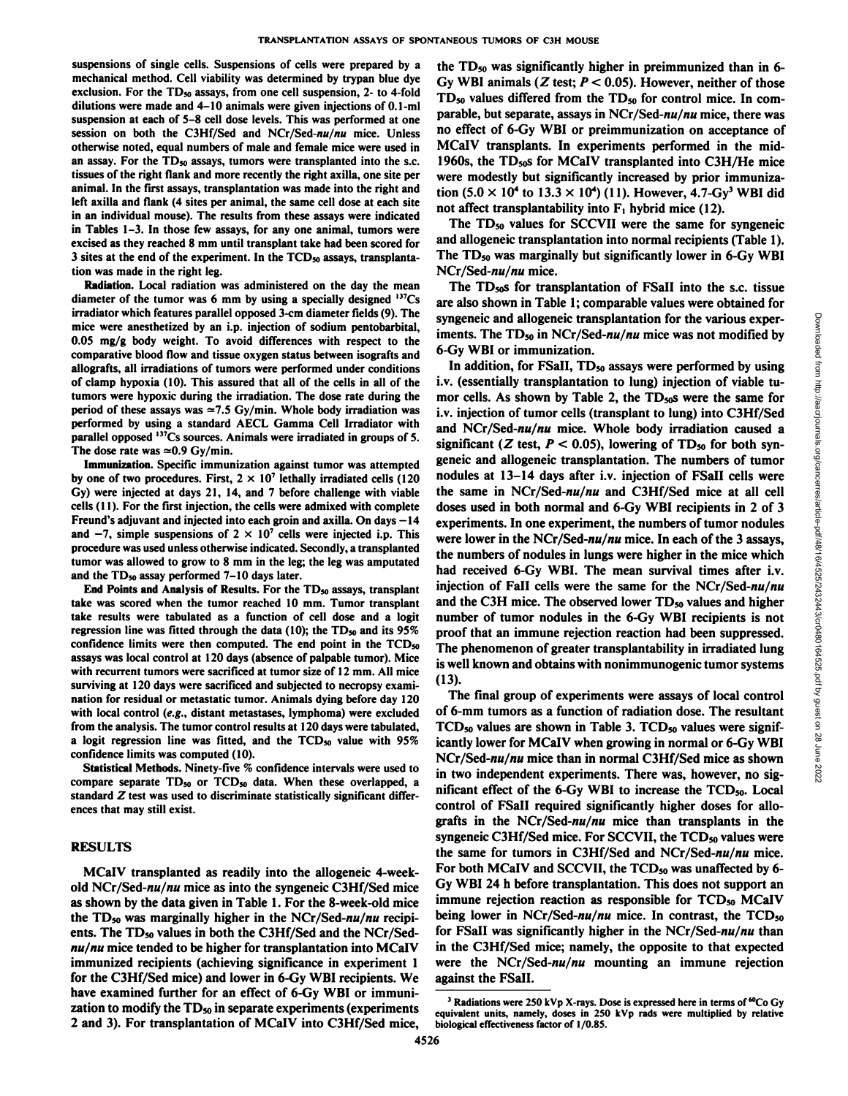suspensions of single cells. Suspensions of cells were prepared by a mechanical method. Cell viability was determined by trypan blue dye exclusion. For the  $TD_{50}$  assays, from one cell suspension, 2- to 4-fold dilutions were made and 4-10 animals were given injections of 0.1-ml suspension at each of 5-8 cell dose levels. This was performed at one session on both the C3Hf/Sed and NCr/Sed-nu/nu mice. Unless otherwise noted, equal numbers of male and female mice were used in an assay. For the  $TD_{50}$  assays, tumors were transplanted into the s.c. tissues of the right flank and more recently the right axilla, one site per animal. In the first assays, transplantation was made into the right and left axilla and flank (4 sites per animal, the same cell dose at each site in an individual mouse). The results from these assays were indicated in Tables 1-3. In those few assays, for any one animal, tumors were excised as they reached 8 mm until transplant take had been scored for 3 sites at the end of the experiment. In the  $\text{TCD}_{50}$  assays, transplantation was made in the right leg.

Radiation. Local radiation was administered on the day the mean diameter of the tumor was 6 mm by using a specially designed  $137Cs$ irradiator which features parallel opposed 3-cm diameter fields (9). The mice were anesthetized by an i.p. injection of sodium pentobarbital, 0.05 mg/g body weight. To avoid differences with respect to the comparative blood flow and tissue oxygen status between isografts and allografts, all irradiations of tumors were performed under conditions of clamp hypoxia (10). This assured that all of the cells in all of the tumors were hypoxic during the irradiation. The dose rate during the period of these assays was  $\approx$ 7.5 Gy/min. Whole body irradiation was performed by using a standard AECL Gamma Cell Irradiator with parallel opposed <sup>137</sup>Cs sources. Animals were irradiated in groups of 5. The dose rate was  $\simeq 0.9 \text{ Gy/min}.$ 

Immunization. Specific immunization against tumor was attempted by one of two procedures. First,  $2 \times 10^7$  lethally irradiated cells (120 Gy) were injected at days 21, 14, and 7 before challenge with viable cells (11). For the first injection, the cells were admixed with complete Freund's adjuvant and injected into each groin and axilla. On days -14 and  $-7$ , simple suspensions of  $2 \times 10^7$  cells were injected i.p. This procedure was used unless otherwise indicated. Secondly, a transplanted tumor was allowed to grow to 8 mm in the leg; the leg was amputated and the  $TD_{50}$  assay performed  $7-10$  days later.

End Points and Analysis of Results. For the  $TD_{50}$  assays, transplant take was scored when the tumor reached 10 mm. Tumor transplant take results were tabulated as a function of cell dose and a logit regression line was fitted through the data (10); the  $TD_{50}$  and its  $95\%$ confidence limits were then computed. The end point in the  $TCD<sub>50</sub>$ assays was local control at 120 days (absence of palpable tumor). Mice with recurrent tumors were sacrificed at tumor size of 12 mm. All mice surviving at 120 days were sacrificed and subjected to necropsy exami nation for residual or metastatic tumor. Animals dying before day 120 with local control (e.g., distant metastases, lymphoma) were excluded from the analysis. The tumor control results at 120 days were tabulated, a logit regression line was fitted, and the  $TCD<sub>50</sub>$  value with 95% confidence limits was computed (10).

Statistical Methods. Ninety-five % confidence intervals were used to compare separate  $TD_{50}$  or  $TCD_{50}$  data. When these overlapped, a standard  $Z$  test was used to discriminate statistically significant differences that may still exist.

#### **RESULTS**

MCalV transplanted as readily into the allogeneic 4-weekold NCr/Sed-nw/nw mice as into the syngeneic C3Hf/Sed mice as shown by the data given in Table 1.For the 8-week-old mice the  $TD_{50}$  was marginally higher in the NCr/Sed-nu/nu recipients. The TD<sub>50</sub> values in both the C3Hf/Sed and the NCr/Sed*nu/nu mice tended to be higher for transplantation into MCal V* immunized recipients (achieving significance in experiment 1 for the C3Hf/Sed mice) and lower in 6-Gy WBI recipients. We have examined further for an effect of 6-Gy WBI or immuni zation to modify the  $TD_{50}$  in separate experiments (experiments 2 and 3). For transplantation of MCalV into C3Hf/Sed mice,

the TDso was significantly higher in preimmunized than in 6- Gv WBI animals ( $Z$  test;  $P < 0.05$ ). However, neither of those TD<sub>50</sub> values differed from the TD<sub>50</sub> for control mice. In comparable, but separate, assays in  $NCr/Sed-nu/nu$  mice, there was no effect of 6-Gy WBI or preimmunization on acceptance of MCalV transplants. In experiments performed in the mid-1960s, the TDsoS for MCalV transplanted into C3H/He mice were modestly but significantly increased by prior immuniza tion  $(5.0 \times 10^4$  to  $13.3 \times 10^4)$  (11). However, 4.7-Gv<sup>3</sup> WBI did not affect transplantability into  $F_1$  hybrid mice (12).

The  $TD_{50}$  values for SCCVII were the same for syngeneic and allogeneic transplantation into normal recipients (Table 1). The TDso was marginally but significantly lower in 6-Gy WBI  $NCr/Sed-nu/nu$  mice.

The TD<sub>50</sub>s for transplantation of FSaII into the s.c. tissue are also shown in Table 1; comparable values were obtained for syngeneic and allogeneic transplantation for the various exper 6-Gy WBI or immunization.

syngeneic and allogeneic transplantation for the various experiments. The TD<sub>so</sub> in NCr/Sed-*nu/nu* mice was not modified by  $6-6y$  WBI or immunization. In addition, for FSaII, TD<sub>so</sub> assays were performed by using i.v. ( In addition, for FSaII,  $TD_{50}$  assays were performed by using i.v. (essentially transplantation to lung) injection of viable tu mor cells. As shown by Table 2, the  $TD_{50}$ s were the same for i.v. injection of tumor cells (transplant to lung) into C3Hf/Sed and NCr/Sed- $nu/nu$  mice. Whole body irradiation caused a significant (Z test,  $P < 0.05$ ), lowering of TD<sub>50</sub> for both syngeneic and allogeneic transplantation. The numbers of tumor nodules at 13-14 days after i.v. injection of FSall cells were the same in  $NCr/$ Sed- $nu/nu$  and C3Hf/Sed mice at all cell doses used in both normal and 6-Gy WBI recipients in 2 of 3 experiments. In one experiment, the numbers of tumor nodules were lower in the NCr/Sed- $nu/nu$  mice. In each of the 3 assays, the numbers of nodules in lungs were higher in the mice which had received 6-Gy WBI. The mean survival times after i.v. injection of FaII cells were the same for the NCr/Sed- $nu/nu$ and the C3H mice. The observed lower  $TD_{50}$  values and higher number of tumor nodules in the 6-Gy WBI recipients is not proof that an immune rejection reaction had been suppressed. The phenomenon of greater transplantability in irradiated lung is well known and obtains with nonimmunogenic tumor systems (13).

The final group of experiments were assays of local control of 6-mm tumors as a function of radiation dose. The resultant  $TCD_{50}$  values are shown in Table 3.  $TCD_{50}$  values were significantly lower for MCalV when growing in normal or 6-Gy WBI NCr/Sed-nu/nu mice than in normal C3Hf/Sed mice as shown in two independent experiments. There was, however, no sig nificant effect of the 6-Gy WBI to increase the TCD<sub>50</sub>. Local control of FSall required significantly higher doses for allo grafts in the NCr/Sed- $nu/nu$  mice than transplants in the syngeneic C3Hf/Sed mice. For SCCVII, the TCD<sub>50</sub> values were the same for tumors in C3Hf/Sed and NCr/Sed-nu/nu mice. For both MCaIV and SCCVII, the TCD<sub>50</sub> was unaffected by 6-Gy WBI 24 h before transplantation. This does not support an immune rejection reaction as responsible for TCD<sub>50</sub> MCaIV being lower in NCr/Sed- $nu/nu$  mice. In contrast, the TCD<sub>50</sub> for FSaII was significantly higher in the NCr/Sed-nu/nu than in the C3Hf/Sed mice; namely, the opposite to that expected were the NCr/Sed- $nu/nu$  mounting an immune rejection against the FSall.

<sup>&</sup>lt;sup>3</sup> Radiations were 250 kVp X-rays. Dose is expressed here in terms of  ${}^{60}Co$  Gy equivalent units, namely, doses in 250 kVp rads were multiplied by relative biological effectiveness factor of 1/0.85.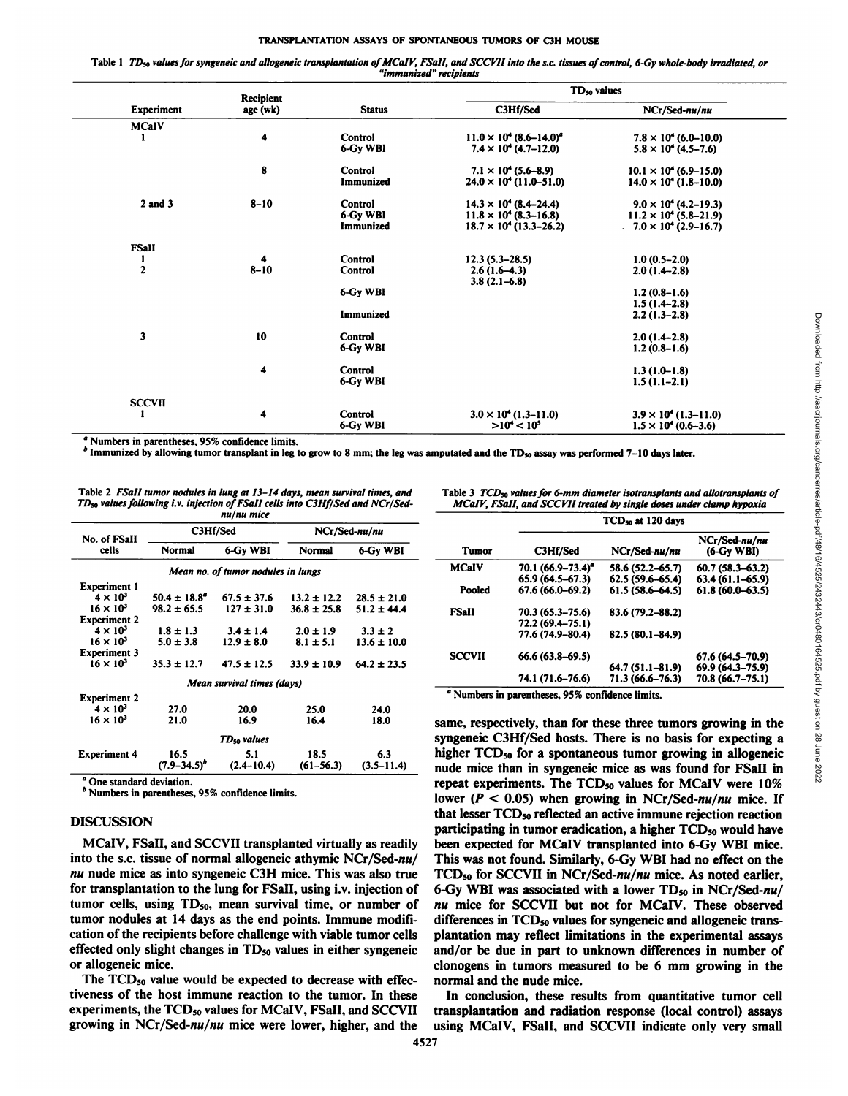Table 1 TD<sub>50</sub> values for syngeneic and allogeneic transplantation of MCaIV, FSaII, and SCCVII into the s.c. tissues of control, 6-Gy whole-body irradiated, or "immunized" recipients

|                         | Recipient |                | TD <sub>50</sub> values                      |                                 |
|-------------------------|-----------|----------------|----------------------------------------------|---------------------------------|
| Experiment              | age (wk)  | <b>Status</b>  | C3Hf/Sed                                     | NCr/Sed-nu/nu                   |
| <b>MCaIV</b>            |           |                |                                              |                                 |
|                         | 4         | Control        | $11.0 \times 10^{4}$ (8.6–14.0) <sup>a</sup> | $7.8 \times 10^{4}$ (6.0-10.0)  |
|                         |           | 6-Gy WBI       | $7.4 \times 10^4$ (4.7–12.0)                 | $5.8 \times 10^4$ (4.5–7.6)     |
|                         | 8         | <b>Control</b> | $7.1 \times 10^4$ (5.6–8.9)                  | $10.1 \times 10^{4}$ (6.9–15.0) |
|                         |           | Immunized      | $24.0 \times 10^4$ (11.0–51.0)               | $14.0 \times 10^4$ (1.8–10.0)   |
| $2$ and $3$             | $8 - 10$  | <b>Control</b> | $14.3 \times 10^{4}$ (8.4-24.4)              | $9.0 \times 10^4$ (4.2–19.3)    |
|                         |           | 6-Gy WBI       | $11.8 \times 10^{4}$ (8.3–16.8)              | $11.2 \times 10^{4}$ (5.8–21.9) |
|                         |           | Immunized      | $18.7 \times 10^4$ (13.3–26.2)               | $-7.0 \times 10^4$ (2.9–16.7)   |
| <b>FSall</b>            |           |                |                                              |                                 |
| 1                       | 4         | Control        | $12.3(5.3 - 28.5)$                           | $1.0(0.5-2.0)$                  |
| $\overline{\mathbf{c}}$ | $8 - 10$  | <b>Control</b> | $2.6(1.6-4.3)$                               | $2.0(1.4-2.8)$                  |
|                         |           |                | $3.8(2.1 - 6.8)$                             |                                 |
|                         |           | 6-Gy WBI       |                                              | $1.2(0.8-1.6)$                  |
|                         |           |                |                                              | $1.5(1.4-2.8)$                  |
|                         |           | Immunized      |                                              | $2.2(1.3-2.8)$                  |
| 3                       | 10        | <b>Control</b> |                                              | $2.0(1.4-2.8)$                  |
|                         |           | 6-Gy WBI       |                                              | $1.2(0.8-1.6)$                  |
|                         | 4         | <b>Control</b> |                                              | $1.3(1.0-1.8)$                  |
|                         |           | 6-Gy WBI       |                                              | $1.5(1.1-2.1)$                  |
| <b>SCCVII</b>           |           |                |                                              |                                 |
| 1                       | 4         | Control        | $3.0 \times 10^4$ (1.3–11.0)                 | $3.9 \times 10^{4}$ (1.3–11.0)  |
|                         |           | 6-Gy WBI       | $>10^{4} < 10^{5}$                           | $1.5 \times 10^{4}$ (0.6–3.6)   |

Numbers in parentheses, 95% confidence limits.

<sup>6</sup> Immunized by allowing tumor transplant in leg to grow to 8 mm; the leg was amputated and the TD<sub>50</sub> assay was performed 7-10 days later.

Table 2 FSaII tumor nodules in lung at 13-14 days, mean survival times, and TD<sub>50</sub> values following i.v. injection of FSaII cells into C3Hf/Sed and NCr/Sednu/nu mice

| No. of FSaII                       | C3Hf/Sed                   |                         | NCr/Sed-nu/nu   |                 |  |  |  |  |
|------------------------------------|----------------------------|-------------------------|-----------------|-----------------|--|--|--|--|
| cells                              | Normal                     | 6-Gy WBI                | Normal          | 6-Gy WBI        |  |  |  |  |
| Mean no. of tumor nodules in lungs |                            |                         |                 |                 |  |  |  |  |
| <b>Experiment 1</b>                |                            |                         |                 |                 |  |  |  |  |
| $4 \times 10^3$                    | $50.4 \pm 18.8^{\circ}$    | $67.5 \pm 37.6$         | $13.2 \pm 12.2$ | $28.5 \pm 21.0$ |  |  |  |  |
| $16 \times 10^3$                   | $98.2 \pm 65.5$            | $127 \pm 31.0$          | $36.8 \pm 25.8$ | $51.2 \pm 44.4$ |  |  |  |  |
| <b>Experiment 2</b>                |                            |                         |                 |                 |  |  |  |  |
| $4 \times 10^3$                    | $1.8 \pm 1.3$              | $3.4 \pm 1.4$           | $2.0 \pm 1.9$   | $3.3 \pm 2$     |  |  |  |  |
| $16 \times 10^3$                   | $5.0 \pm 3.8$              | $12.9 \pm 8.0$          | $8.1 \pm 5.1$   | $13.6 \pm 10.0$ |  |  |  |  |
| <b>Experiment 3</b>                |                            |                         |                 |                 |  |  |  |  |
| $16 \times 10^3$                   | $35.3 \pm 12.7$            | $47.5 \pm 12.5$         | $33.9 \pm 10.9$ | $64.2 \pm 23.5$ |  |  |  |  |
|                                    | Mean survival times (days) |                         |                 |                 |  |  |  |  |
| <b>Experiment 2</b>                |                            |                         |                 |                 |  |  |  |  |
| $4 \times 10^3$                    | 27.0                       | 20.0                    | 25.0            | 24.0            |  |  |  |  |
| $16 \times 10^{3}$                 | 21.0                       | 16.9                    | 16.4            | 18.0            |  |  |  |  |
|                                    |                            | TD <sub>so</sub> values |                 |                 |  |  |  |  |
| <b>Experiment 4</b>                | 16.5                       | 5.1                     | 18.5            | 6.3             |  |  |  |  |
|                                    | $(7.9 - 34.5)^p$           | $(2.4 - 10.4)$          | $(61 - 56.3)$   | $(3.5 - 11.4)$  |  |  |  |  |

<sup>a</sup> One standard deviation.

<sup>b</sup> Numbers in parentheses, 95% confidence limits.

### **DISCUSSION**

MCaIV, FSaII, and SCCVII transplanted virtually as readily into the s.c. tissue of normal allogeneic athymic NCr/Sed-nu/ nu nude mice as into syngeneic C3H mice. This was also true for transplantation to the lung for FSaII, using i.v. injection of tumor cells, using TD<sub>50</sub>, mean survival time, or number of tumor nodules at 14 days as the end points. Immune modification of the recipients before challenge with viable tumor cells effected only slight changes in  $TD_{50}$  values in either syngeneic or allogeneic mice.

The TCD<sub>50</sub> value would be expected to decrease with effectiveness of the host immune reaction to the tumor. In these experiments, the TCD<sub>50</sub> values for MCaIV, FSaII, and SCCVII growing in  $NCr/Sed-nu/nu$  mice were lower, higher, and the

Table 3 TCD<sub>50</sub> values for 6-mm diameter isotransplants and allotransplants of MCaIV, FSaII, and SCCVII treated by single doses under clamp hypoxia

|               | TCD <sub>50</sub> at 120 days |                     |                               |  |  |  |
|---------------|-------------------------------|---------------------|-------------------------------|--|--|--|
| Tumor         | C3Hf/Sed                      | NCr/Sed-nu/nu       | NCr/Sed-nu/nu<br>$(6-Gy WBI)$ |  |  |  |
| MCaIV         | 70.1 (66.9–73.4) <sup>e</sup> | 58.6 (52.2–65.7)    | $60.7(58.3 - 63.2)$           |  |  |  |
|               | $65.9(64.5 - 67.3)$           | $62.5(59.6 - 65.4)$ | $63.4(61.1 - 65.9)$           |  |  |  |
| Pooled        | 67.6 (66.0-69.2)              | $61.5(58.6 - 64.5)$ | $61.8(60.0 - 63.5)$           |  |  |  |
| <b>FSall</b>  | 70.3 (65.3–75.6)              | 83.6 (79.2–88.2)    |                               |  |  |  |
|               | 72.2 (69.4–75.1)              |                     |                               |  |  |  |
|               | 77.6 (74.9-80.4)              | 82.5 (80.1–84.9)    |                               |  |  |  |
| <b>SCCVII</b> | $66.6(63.8 - 69.5)$           |                     | $67.6(64.5 - 70.9)$           |  |  |  |
|               |                               | 64.7 (51.1-81.9)    | 69.9 (64.3-75.9)              |  |  |  |
|               | 74.1 (71.6–76.6)              | 71.3 (66.6–76.3)    | 70.8 (66.7–75.1)              |  |  |  |

<sup>a</sup> Numbers in parentheses, 95% confidence limits.

same, respectively, than for these three tumors growing in the syngeneic C3Hf/Sed hosts. There is no basis for expecting a higher TCD<sub>50</sub> for a spontaneous tumor growing in allogeneic nude mice than in syngeneic mice as was found for FSaII in repeat experiments. The TCD<sub>50</sub> values for MCaIV were 10% lower ( $P < 0.05$ ) when growing in NCr/Sed-nu/nu mice. If that lesser TCD<sub>50</sub> reflected an active immune rejection reaction participating in tumor eradication, a higher TCD<sub>50</sub> would have been expected for MCaIV transplanted into 6-Gy WBI mice. This was not found. Similarly, 6-Gy WBI had no effect on the TCD<sub>50</sub> for SCCVII in NCr/Sed-nu/nu mice. As noted earlier, 6-Gy WBI was associated with a lower TD<sub>50</sub> in NCr/Sed-nu/ nu mice for SCCVII but not for MCaIV. These observed differences in TCD<sub>50</sub> values for syngeneic and allogeneic transplantation may reflect limitations in the experimental assays and/or be due in part to unknown differences in number of clonogens in tumors measured to be 6 mm growing in the normal and the nude mice.

In conclusion, these results from quantitative tumor cell transplantation and radiation response (local control) assays using MCaIV, FSaII, and SCCVII indicate only very small